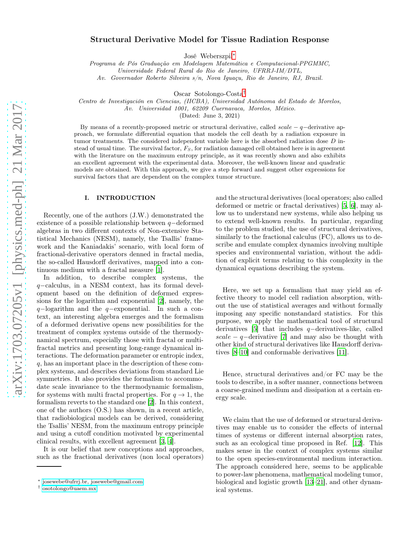# Structural Derivative Model for Tissue Radiation Response

José Weberszpil[∗](#page-0-0)

Programa de Pós Graduação em Modelagem Matemática e Computacional-PPGMMC,

Universidade Federal Rural do Rio de Janeiro, UFRRJ-IM/DTL,

Av. Governador Roberto Silveira s/n, Nova Iguaçu, Rio de Janeiro, RJ, Brazil.

Oscar Sotolongo-Costa[†](#page-0-1)

Centro de Investigación en Ciencias, (IICBA), Universidad Autónoma del Estado de Morelos,

Av. Universidad 1001, 62209 Cuernavaca, Morelos, México.

(Dated: June 3, 2021)

By means of a recently-proposed metric or structural derivative, called  $scale - q$  derivative approach, we formulate differential equation that models the cell death by a radiation exposure in tumor treatments. The considered independent variable here is the absorbed radiation dose D instead of usual time. The survival factor,  $F<sub>S</sub>$ , for radiation damaged cell obtained here is in agreement with the literature on the maximum entropy principle, as it was recently shown and also exhibits an excellent agreement with the experimental data. Moreover, the well-known linear and quadratic models are obtained. With this approach, we give a step forward and suggest other expressions for survival factors that are dependent on the complex tumor structure.

### I. INTRODUCTION

Recently, one of the authors (J.W.) demonstrated the existence of a possible relationship between q−deformed algebras in two different contexts of Non-extensive Statistical Mechanics (NESM), namely, the Tsallis' framework and the Kaniadakis' scenario, with local form of fractional-derivative operators denned in fractal media, the so-called Hausdorff derivatives, mapped into a continuous medium with a fractal measure [\[1](#page-4-0)].

In addition, to describe complex systems, the q−calculus, in a NESM context, has its formal development based on the definition of deformed expressions for the logarithm and exponential [\[2\]](#page-4-1), namely, the q−logarithm and the q−exponential. In such a context, an interesting algebra emerges and the formalism of a deformed derivative opens new possibilities for the treatment of complex systems outside of the thermodynamical spectrum, especially those with fractal or multifractal metrics and presenting long-range dynamical interactions. The deformation parameter or entropic index, q, has an important place in the description of these complex systems, and describes deviations from standard Lie symmetries. It also provides the formalism to accommodate scale invariance to the thermodynamic formalism, for systems with multi fractal properties. For  $q \to 1$ , the formalism reverts to the standard one [\[2\]](#page-4-1). In this context, one of the authors (O.S.) has shown, in a recent article, that radiobiological models can be derived, considering the Tsallis' NESM, from the maximum entropy principle and using a cutoff condition motivated by experimental clinical results, with excellent agreement [\[3,](#page-4-2) [4\]](#page-4-3).

It is our belief that new conceptions and approaches, such as the fractional derivatives (non local operators) and the structural derivatives (local operators; also called deformed or metric or fractal derivatives) [5, 6], may allow us to understand new systems, while also helping us to extend well-known results. In particular, regarding to the problem studied, the use of structural derivatives, similarly to the fractional calculus (FC), allows us to describe and emulate complex dynamics involving multiple species and environmental variation, without the addition of explicit terms relating to this complexity in the dynamical equations describing the system.

Here, we set up a formalism that may yield an effective theory to model cell radiation absorption, without the use of statistical averages and without formally imposing any specific nonstandard statistics. For this purpose, we apply the mathematical tool of structural derivatives [5] that includes q−derivatives-like, called scale  $-q$ -derivative [7] and may also be thought with other kind of structural derivatives like Hausdorff derivatives [\[8](#page-4-4)[–10](#page-4-5)] and conformable derivatives [\[11](#page-4-6)].

Hence, structural derivatives and/or FC may be the tools to describe, in a softer manner, connections between a coarse-grained medium and dissipation at a certain energy scale.

We claim that the use of deformed or structural derivatives may enable us to consider the effects of internal times of systems or different internal absorption rates, such as an ecological time proposed in Ref. [12]. This makes sense in the context of complex systems similar to the open species-environmental medium interaction. The approach considered here, seems to be applicable to power-law phenomena, mathematical modeling tumor, biological and logistic growth [13[–21](#page-4-7)], and other dynamical systems.

<span id="page-0-0"></span><sup>∗</sup> [josewebe@ufrrj.br, josewebe@gmail.com](mailto:josewebe@ufrrj.br, josewebe@gmail.com)

<span id="page-0-1"></span><sup>†</sup> [osotolongo@uaem.mx](mailto:osotolongo@uaem.mx)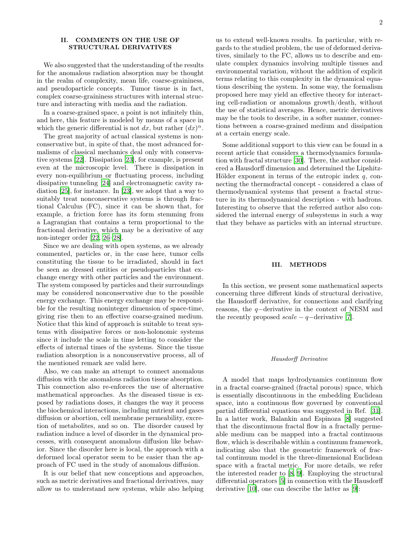## II. COMMENTS ON THE USE OF STRUCTURAL DERIVATIVES

We also suggested that the understanding of the results for the anomalous radiation absorption may be thought in the realm of complexity, mean life, coarse-graininess, and pseudoparticle concepts. Tumor tissue is in fact, complex coarse-graininess structures with internal structure and interacting with media and the radiation.

In a coarse-grained space, a point is not infinitely thin, and here, this feature is modeled by means of a space in which the generic differential is not dx, but rather  $(dx)^\alpha$ .

The great majority of actual classical systems is nonconservative but, in spite of that, the most advanced formalisms of classical mechanics deal only with conservative systems [\[22](#page-4-8)]. Dissipation [\[23\]](#page-4-9), for example, is present even at the microscopic level. There is dissipation in every non-equilibrium or fluctuating process, including dissipative tunneling [\[24](#page-4-10)] and electromagnetic cavity radiation [\[25](#page-4-11)], for instance. In [\[23\]](#page-4-9), we adopt that a way to suitably treat nonconservative systems is through fractional Calculus (FC), since it can be shown that, for example, a friction force has its form stemming from a Lagrangian that contains a term proportional to the fractional derivative, which may be a derivative of any non-integer order [\[22](#page-4-8), [26](#page-4-12)[–28](#page-4-13)].

Since we are dealing with open systems, as we already commented, particles or, in the case here, tumor cells constituting the tissue to be irradiated, should in fact be seen as dressed entities or pseudoparticles that exchange energy with other particles and the environment. The system composed by particles and their surroundings may be considered nonconservative due to the possible energy exchange. This energy exchange may be responsible for the resulting noninteger dimension of space-time, giving rise then to an effective coarse-grained medium. Notice that this kind of approach is suitable to treat systems with dissipative forces or non-holonomic systems since it include the scale in time letting to consider the effects of internal times of the systems. Since the tissue radiation absorption is a nonconservative process, all of the mentioned remark are valid here.

Also, we can make an attempt to connect anomalous diffusion with the anomalous radiation tissue absorption. This connection also re-enforces the use of alternative mathematical approaches. As the diseased tissue is exposed by radiations doses, it changes the way it process the biochemical interactions, including nutrient and gases diffusion or abortion, cell membrane permeability, excretion of metabolites, and so on. The disorder caused by radiation induce a level of disorder in the dynamical processes, with consequent anomalous diffusion like behavior. Since the disorder here is local, the approach with a deformed local operator seem to be easier than the approach of FC used in the study of anomalous diffusion.

It is our belief that new conceptions and approaches, such as metric derivatives and fractional derivatives, may allow us to understand new systems, while also helping

us to extend well-known results. In particular, with regards to the studied problem, the use of deformed derivatives, similarly to the FC, allows us to describe and emulate complex dynamics involving multiple tissues and environmental variation, without the addition of explicit terms relating to this complexity in the dynamical equations describing the system. In some way, the formalism proposed here may yield an effective theory for interacting cell-radiation or anomalous growth/death, without the use of statistical averages. Hence, metric derivatives may be the tools to describe, in a softer manner, connections between a coarse-grained medium and dissipation at a certain energy scale.

Some additional support to this view can be found in a recent article that considers a thermodynamics formulation with fractal structure [\[30\]](#page-4-14). There, the author considered a Hausdorff dimension and determined the Lipshitz-Hölder exponent in terms of the entropic index  $q$ , connecting the thermofractal concept - considered a class of thermodynamical systems that present a fractal structure in its thermodynamical description - with hadrons. Interesting to observe that the referred author also considered the internal energy of subsystems in such a way that they behave as particles with an internal structure.

### III. METHODS

In this section, we present some mathematical aspects concerning three different kinds of structural derivative, the Hausdorff derivative, for connections and clarifying reasons, the q−derivative in the context of NESM and the recently proposed  $scale - q$  –derivative [7].

### Hausdorff Derivative

A model that maps hydrodynamics continuum flow in a fractal coarse-grained (fractal porous) space, which is essentially discontinuous in the embedding Euclidean space, into a continuous flow governed by conventional partial differential equations was suggested in Ref. [\[31\]](#page-4-15). In a latter work, Balankin and Espinoza [\[8](#page-4-4)] suggested that the discontinuous fractal flow in a fractally permeable medium can be mapped into a fractal continuous flow, which is describable within a continuum framework, indicating also that the geometric framework of fractal continuum model is the three-dimensional Euclidean space with a fractal metric. For more details, we refer the interested reader to [\[8,](#page-4-4) [9\]](#page-4-16). Employing the structural differential operators [5] in connection with the Hausdorff derivative [\[10](#page-4-5)], one can describe the latter as [\[9\]](#page-4-16):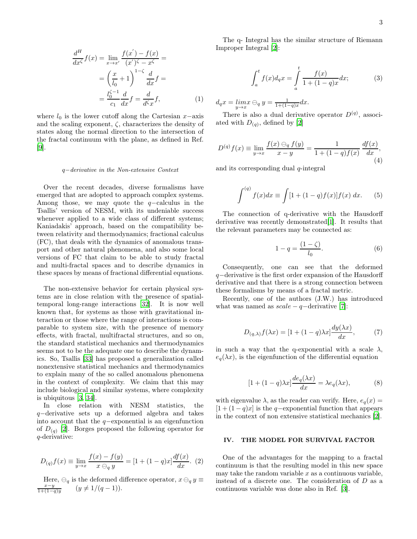$$
\frac{d^H}{dx^{\zeta}}f(x) = \lim_{x \to x'} \frac{f(x') - f(x)}{(x')^{\zeta} - x^{\zeta}} =
$$

$$
= \left(\frac{x}{l_0} + 1\right)^{1-\zeta} \frac{d}{dx}f =
$$

$$
= \frac{l_0^{\zeta - 1}}{c_1} \frac{d}{dx}f = \frac{d}{d^{\zeta}x}f,
$$
(1)

where  $l_0$  is the lower cutoff along the Cartesian  $x$ −axis and the scaling exponent,  $\zeta$ , characterizes the density of states along the normal direction to the intersection of the fractal continuum with the plane, as defined in Ref. [\[9\]](#page-4-16).

#### q−derivative in the Non-extensive Context

Over the recent decades, diverse formalisms have emerged that are adopted to approach complex systems. Among those, we may quote the q−calculus in the Tsallis' version of NESM, with its undeniable success whenever applied to a wide class of different systems; Kaniadakis' approach, based on the compatibility between relativity and thermodynamics; fractional calculus (FC), that deals with the dynamics of anomalous transport and other natural phenomena, and also some local versions of FC that claim to be able to study fractal and multi-fractal spaces and to describe dynamics in these spaces by means of fractional differential equations.

The non-extensive behavior for certain physical systems are in close relation with the presence of spatialtemporal long-range interactions [\[32](#page-4-17)]. It is now well known that, for systems as those with gravitational interaction or those where the range of interactions is comparable to system size, with the presence of memory effects, with fractal, multifractal structures, and so on, the standard statistical mechanics and thermodynamics seems not to be the adequate one to describe the dynamics. So, Tsallis [33] has proposed a generalization called nonextensive statistical mechanics and thermodynamics to explain many of the so called anomalous phenomena in the context of complexity. We claim that this may include biological and similar systems, where complexity is ubiquitous [\[3,](#page-4-2) 34].

In close relation with NESM statistics, the q−derivative sets up a deformed algebra and takes into account that the q−exponential is an eigenfunction of  $D_{(q)}$  [\[2\]](#page-4-1). Borges proposed the following operator for q-derivative:

$$
D_{(q)}f(x) \equiv \lim_{y \to x} \frac{f(x) - f(y)}{x \ominus_q y} = [1 + (1 - q)x] \frac{df(x)}{dx}.
$$
 (2)

Here,  $\ominus_q$  is the deformed difference operator,  $x \ominus_q y \equiv \frac{x-y}{1+(1-q)y}$   $(y \neq 1/(q-1)).$ 

The q- Integral has the similar structure of Riemann Improper Integral [\[2\]](#page-4-1):

$$
\int_{a}^{t} f(x)d_{q}x = \int_{a}^{t} \frac{f(x)}{1 + (1 - q)x} dx;
$$
 (3)

 $d_q x = \lim_{y \to x} x \ominus_q y = \frac{1}{1 + (1 - q)x} dx.$ 

There is also a dual derivative operator  $D^{(q)}$ , associated with  $D_{(q)}$ , defined by [\[2\]](#page-4-1)

$$
D^{(q)} f(x) \equiv \lim_{y \to x} \frac{f(x) \ominus_q f(y)}{x - y} = \frac{1}{1 + (1 - q)f(x)} \frac{df(x)}{dx},\tag{4}
$$

and its corresponding dual  $q$ -integral

$$
\int^{(q)} f(x)dx \equiv \int [1 + (1 - q)f(x)]f(x) dx.
$$
 (5)

The connection of q-derivative with the Hausdorff derivative was recently demonstrated[\[1\]](#page-4-0). It results that the relevant parameters may be connected as:

$$
1 - q = \frac{(1 - \zeta)}{l_0}.
$$
 (6)

Consequently, one can see that the deformed q−derivative is the first order expansion of the Hausdorff derivative and that there is a strong connection between these formalisms by means of a fractal metric.

Recently, one of the authors (J.W.) has introduced what was named as  $scale - q$  –derivative [7]:

$$
D_{(q,\lambda)}f(\lambda x) = [1 + (1-q)\lambda x] \frac{dy(\lambda x)}{dx},\qquad(7)
$$

in such a way that the q-exponential with a scale  $\lambda$ ,  $e_q(\lambda x)$ , is the eigenfunction of the differential equation

$$
[1 + (1 - q)\lambda x] \frac{de_q(\lambda x)}{dx} = \lambda e_q(\lambda x), \tag{8}
$$

with eigenvalue  $\lambda$ , as the reader can verify. Here,  $e_q(x)$  =  $[1 + (1 - q)x]$  is the q-exponential function that appears in the context of non extensive statistical mechanics [\[2](#page-4-1)].

### IV. THE MODEL FOR SURVIVAL FACTOR

One of the advantages for the mapping to a fractal continuum is that the resulting model in this new space may take the random variable  $x$  as a continuous variable, instead of a discrete one. The consideration of D as a continuous variable was done also in Ref. [\[3\]](#page-4-2).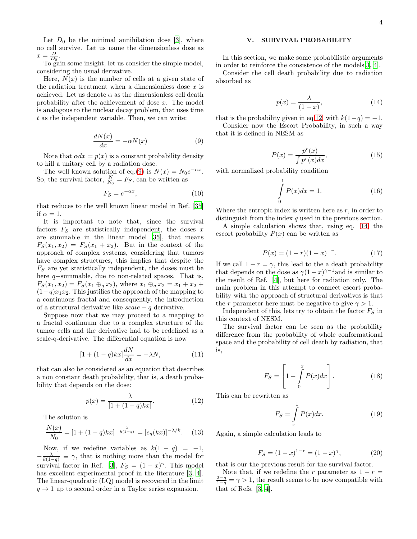Let  $D_0$  be the minimal annihilation dose [\[3\]](#page-4-2), where no cell survive. Let us name the dimensionless dose as  $x = \frac{D}{D_0}.$ 

To gain some insight, let us consider the simple model, considering the usual derivative.

Here,  $N(x)$  is the number of cells at a given state of the radiation treatment when a dimensionless dose  $x$  is achieved. Let us denote  $\alpha$  as the dimensionless cell death probability after the achievement of dose x. The model is analogous to the nuclear decay problem, that uses time t as the independent variable. Then, we can write:

<span id="page-3-0"></span>
$$
\frac{dN(x)}{dx} = -\alpha N(x) \tag{9}
$$

Note that  $\alpha dx = p(x)$  is a constant probability density to kill a unitary cell by a radiation dose.

The well known solution of eq.[\(9\)](#page-3-0) is  $N(x) = N_0 e^{-\alpha x}$ . So, the survival factor,  $\frac{N}{N_0} = F_S$ , can be written as

$$
F_S = e^{-\alpha x},\tag{10}
$$

that reduces to the well known linear model in Ref. [\[35](#page-5-0)] if  $\alpha = 1$ .

It is important to note that, since the survival factors  $F<sub>S</sub>$  are statistically independent, the doses x are summable in the linear model [\[35\]](#page-5-0), that means  $F_S(x_1, x_2) = F_S(x_1 + x_2)$ . But in the context of the approach of complex systems, considering that tumors have complex structures, this implies that despite the  $F<sub>S</sub>$  are yet statistically independent, the doses must be here q−summable, due to non-related spaces. That is,  $F_S(x_1, x_2) = F_S(x_1 \oplus_q x_2)$ , where  $x_1 \oplus_q x_2 = x_1 + x_2 +$  $(1-q)x_1x_2$ . This justifies the approach of the mapping to a continuous fractal and consequently, the introduction of a structural derivative like  $scale - q$  derivative.

Suppose now that we may proceed to a mapping to a fractal continuum due to a complex structure of the tumor cells and the derivative had to be redefined as a scale-q-derivative. The differential equation is now

$$
[1 + (1 - q)kx] \frac{dN}{dx} = -\lambda N,\tag{11}
$$

that can also be considered as an equation that describes a non constant death probability, that is, a death probability that depends on the dose:

<span id="page-3-1"></span>
$$
p(x) = \frac{\lambda}{[1 + (1 - q)kx]}.\tag{12}
$$

The solution is

$$
\frac{N(x)}{N_0} = [1 + (1 - q)kx]^{-\frac{\lambda}{k(1 - q)}} = [e_q(kx)]^{-\lambda/k}.
$$
 (13)

Now, if we redefine variables as  $k(1 - q) = -1$ ,  $-\frac{\lambda}{k(1-q)} \equiv \gamma$ , that is nothing more than the model for survival factor in Ref. [\[3\]](#page-4-2),  $F_S = (1 - x)^\gamma$ . This model has excellent experimental proof in the literature [\[3,](#page-4-2) [4\]](#page-4-3). The linear-quadratic (LQ) model is recovered in the limit  $q \rightarrow 1$  up to second order in a Taylor series expansion.

# V. SURVIVAL PROBABILITY

In this section, we make some probabilistic arguments in order to reinforce the consistence of the models[\[3,](#page-4-2) [4\]](#page-4-3).

Consider the cell death probability due to radiation absorbed as

<span id="page-3-2"></span>
$$
p(x) = \frac{\lambda}{(1-x)},\tag{14}
$$

that is the probability given in eq[.12,](#page-3-1) with  $k(1-q) = -1$ .

Consider now the Escort Probability, in such a way that it is defined in NESM as

$$
P(x) = \frac{p^r(x)}{\int p^r(x)dx},\tag{15}
$$

with normalized probability condition

$$
\int_{0}^{1} P(x)dx = 1.
$$
 (16)

Where the entropic index is written here as  $r$ , in order to distinguish from the index q used in the previous section.

A simple calculation shows that, using eq. [14,](#page-3-2) the escort probability  $P(x)$  can be written as

$$
P(x) = (1 - r)(1 - x)^{-r}.
$$
 (17)

If we call  $1 - r = \gamma$ , this lead to the a death probability that depends on the dose as  $\gamma(1-x)^{\gamma-1}$  and is similar to the result of Ref. [\[4](#page-4-3)], but here for radiation only. The main problem in this attempt to connect escort probability with the approach of structural derivatives is that the r parameter here must be negative to give  $\gamma > 1$ .

Independent of this, lets try to obtain the factor  $F_S$  in this context of NESM.

The survival factor can be seen as the probability difference from the probability of whole conformational space and the probability of cell death by radiation, that is,

$$
F_S = \left[1 - \int\limits_0^x P(x)dx\right].
$$
 (18)

This can be rewritten as

$$
F_S = \int\limits_x^1 P(x)dx.
$$
 (19)

Again, a simple calculation leads to

$$
F_S = (1 - x)^{1 - r} = (1 - x)^{\gamma}, \tag{20}
$$

that is our the previous result for the survival factor.

Note that, if we redefine the r parameter as  $1 - r =$  $\frac{2-q}{1-q} = \gamma > 1$ , the result seems to be now compatible with that of Refs. [\[3,](#page-4-2) [4\]](#page-4-3).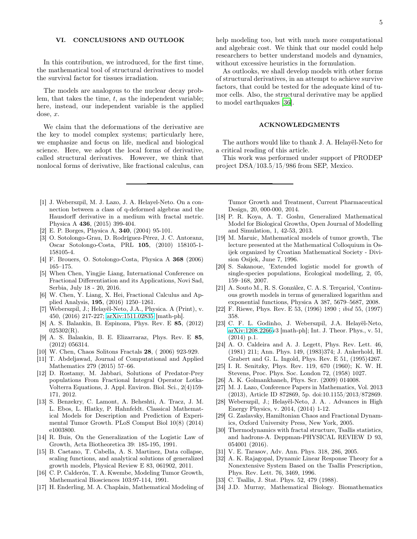## VI. CONCLUSIONS AND OUTLOOK

In this contribution, we introduced, for the first time, the mathematical tool of structural derivatives to model the survival factor for tissues irradiation.

The models are analogous to the nuclear decay problem, that takes the time, t, as the independent variable; here, instead, our independent variable is the applied dose, x.

We claim that the deformations of the derivative are the key to model complex systems; particularly here, we emphasize and focus on life, medical and biological science. Here, we adopt the local forms of derivative, called structural derivatives. However, we think that nonlocal forms of derivative, like fractional calculus, can

help modeling too, but with much more computational and algebraic cost. We think that our model could help researchers to better understand models and dynamics, without excessive heuristics in the formulation.

As outlooks, we shall develop models with other forms of structural derivatives, in an attempt to achieve survive factors, that could be tested for the adequate kind of tumor cells. Also, the structural derivative may be applied to model earthquakes [36].

### ACKNOWLEDGMENTS

The authors would like to thank J. A. Helayël-Neto for a critical reading of this article.

This work was performed under support of PRODEP project DSA/103.5/15/986 from SEP, Mexico.

- <span id="page-4-0"></span>[1] J. Weberszpil, M. J. Lazo, J. A. Helayel-Neto. On a connection between a class of q-deformed algebras and the Hausdorff derivative in a medium with fractal metric. Physica A 436, (2015) 399-404.
- <span id="page-4-1"></span>[2] E. P. Borges, Physica A, 340, (2004) 95-101.
- <span id="page-4-2"></span>[3] O. Sotolongo-Grau, D. Rodríguez-Pérez, J. C. Antoranz, Oscar Sotolongo-Costa, PRL 105, (2010) 158105-1- 158105-4.
- <span id="page-4-3"></span>[4] F. Brouers, O. Sotolongo-Costa, Physica A 368 (2006) 165–175.
- [5] When Chen, Yingjie Liang, International Conference on Fractional Differentiation and its Applications, Novi Sad, Serbia, July 18 - 20, 2016.
- [6] W. Chen, Y. Liang, X. Hei, Fractional Calculus and Applied Analysis, 195, (2016) 1250–1261.
- [7] Weberszpil, J.; Helayël-Neto, J.A., Physica. A (Print), v. 450, (2016) 217-227; [arXiv:1511.02835](http://arxiv.org/abs/1511.02835) [math-ph].
- <span id="page-4-4"></span>[8] A. S. Balankin, B. Espinoza, Phys. Rev. E 85, (2012)  $025302(R)$ .
- <span id="page-4-16"></span>[9] A. S. Balankin, B. E. Elizarraraz, Phys. Rev. E 85, (2012) 056314.
- <span id="page-4-5"></span>[10] W. Chen, Chaos Solitons Fractals 28, ( 2006) 923-929.
- <span id="page-4-6"></span>[11] T. Abdeljawad, Journal of Computational and Applied Mathematics 279 (2015) 57–66.
- [12] D. Rostamy, M. Jabbari, Solutions of Predator-Prey populations From Fractional Integral Operator Lotka-Volterra Equations, J. Appl. Environ. Biol. Sci., 2(4)159- 171, 2012.
- [13] S. Benzekry, C. Lamont, A. Beheshti, A. Tracz, J. M. L. Ebos, L. Hlatky, P. Hahnfeldt. Classical Mathematical Models for Description and Prediction of Experimental Tumor Growth. PLoS Comput Biol 10(8) (2014) e1003800.
- [14] R. Buis, On the Generalization of the Logistic Law of Growth, Acta Biotheoretica 39: 185-195, 1991.
- [15] B. Caetano, T. Cabella, A. S. Martinez, Data collapse, scaling functions, and analytical solutions of generalized growth models, Physical Review E 83, 061902, 2011.
- [16] C. P. Calderón, T. A. Kwembe, Modeling Tumor Growth, Mathematical Biosciences 103:97-114, 1991.
- [17] H. Enderling, M. A. Chaplain, Mathematical Modeling of

Tumor Growth and Treatment, Current Pharmaceutical Design, 20, 000-000, 2014.

- [18] P. R. Koya, A. T. Goshu, Generalized Mathematical Model for Biological Growths, Open Journal of Modelling and Simulation, 1, 42-53, 2013.
- [19] M. Maruic, Mathematical models of tumor growth, The lecture presented at the Mathematical Colloquium in Osijek organized by Croatian Mathematical Society - Division Osijek, June 7, 1996.
- [20] S. Sakanoue, 'Extended logistic model for growth of single-species populations, Ecological modelling, 2, 05, 159–168, 2007.
- <span id="page-4-7"></span>[21] A. Souto M., R. S. González, C. A. S. Terçariol, 'Continuous growth models in terms of generalized logarithm and exponential functions, Physica A 387, 5679–5687, 2008.
- <span id="page-4-8"></span>[22] F. Riewe, Phys. Rev. E 53, (1996) 1890 ; ibid 55, (1997) 358.
- <span id="page-4-9"></span>[23] C. F. L. Godinho, J. Weberszpil, J.A. Helayël-Neto, [arXiv:1208.2266v](http://arxiv.org/abs/1208.2266)3 [math-ph]; Int. J. Theor. Phys., v. 51, (2014) p.1.
- <span id="page-4-10"></span>[24] A. O. Caldeira and A. J. Legett, Phys. Rev. Lett. 46, (1981) 211; Ann. Phys. 149, (1983)374; J. Ankerhold, H. Grabert and G. L. Ingold, Phys. Rev. E 51, (1995)4267.
- <span id="page-4-11"></span>[25] I. R. Senitzky, Phys. Rev. 119, 670 (1960); K. W. H. Stevens, Proc. Phys. Soc. London 72, (1958) 1027.
- <span id="page-4-12"></span>[26] A. K. Golmankhaneh, Phys. Scr. (2009) 014008.
- [27] M. J. Lazo, Conference Papers in Mathematics, Vol. 2013 (2013), Article ID 872869, 5p. doi:10.1155/2013/872869.
- <span id="page-4-13"></span>[28] Weberszpil, J.; Helayël-Neto, J. A. . Advances in High Energy Physics, v. 2014, (2014) 1-12.
- [29] G. Zaslavsky, Hamiltonian Chaos and Fractional Dynamics, Oxford University Press, New York, 2005.
- <span id="page-4-14"></span>[30] Thermodynamics with fractal structure, Tsallis statistics, and hadrons-A. Deppman-PHYSICAL REVIEW D 93, 054001 (2016).
- <span id="page-4-15"></span>[31] V. E. Tarasov, Adv. Ann. Phys. 318, 286, 2005.
- <span id="page-4-17"></span>[32] A. K. Rajagopal, Dynamic Linear Response Theory for a Nonextensive System Based on the Tsallis Prescription, Phys. Rev. Lett. 76, 3469, 1996.
- [33] C. Tsallis, J. Stat. Phys. 52, 479 (1988).
- [34] J.D. Murray, Mathematical Biology. Biomathematics